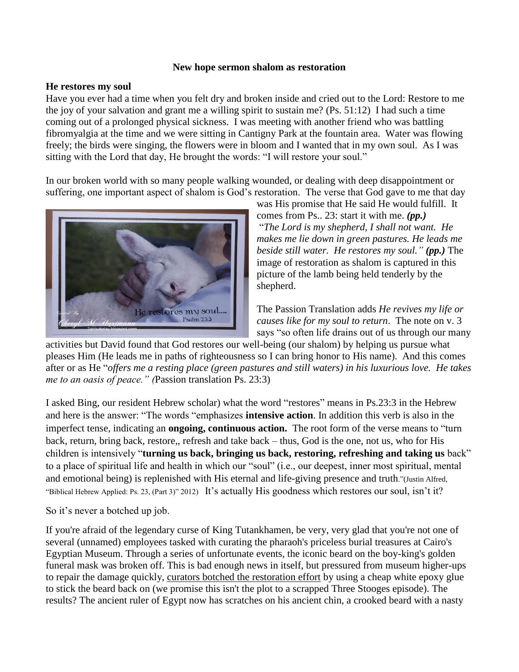## **New hope sermon shalom as restoration**

## **He restores my soul**

Have you ever had a time when you felt dry and broken inside and cried out to the Lord: Restore to me the joy of your salvation and grant me a willing spirit to sustain me? (Ps. 51:12) I had such a time coming out of a prolonged physical sickness. I was meeting with another friend who was battling fibromyalgia at the time and we were sitting in Cantigny Park at the fountain area. Water was flowing freely; the birds were singing, the flowers were in bloom and I wanted that in my own soul. As I was sitting with the Lord that day, He brought the words: "I will restore your soul."

In our broken world with so many people walking wounded, or dealing with deep disappointment or suffering, one important aspect of shalom is God's restoration. The verse that God gave to me that day



was His promise that He said He would fulfill. It comes from Ps.. 23: start it with me. *(pp.)* "*The Lord is my shepherd, I shall not want. He makes me lie down in green pastures. He leads me beside still water. He restores my soul." (pp.)* The image of restoration as shalom is captured in this picture of the lamb being held tenderly by the shepherd.

The Passion Translation adds *He revives my life or causes like for my soul to return*. The note on v. 3 says "so often life drains out of us through our many

activities but David found that God restores our well-being (our shalom) by helping us pursue what pleases Him (He leads me in paths of righteousness so I can bring honor to His name). And this comes after or as He "*offers me a resting place (green pastures and still waters) in his luxurious love. He takes me to an oasis of peace." (*Passion translation Ps. 23:3)

I asked Bing, our resident Hebrew scholar) what the word "restores" means in Ps.23:3 in the Hebrew and here is the answer: "The words "emphasizes **intensive action**. In addition this verb is also in the imperfect tense, indicating an **ongoing, continuous action.** The root form of the verse means to "turn back, return, bring back, restore,, refresh and take back – thus, God is the one, not us, who for His children is intensively "**turning us back, bringing us back, restoring, refreshing and taking us** back" to a place of spiritual life and health in which our "soul" (i.e., our deepest, inner most spiritual, mental and emotional being) is replenished with His eternal and life-giving presence and truth."(Justin Alfred, "Biblical Hebrew Applied: Ps. 23, (Part 3)" 2012) It's actually His goodness which restores our soul, isn't it?

So it's never a botched up job.

If you're afraid of the legendary curse of King Tutankhamen, be very, very glad that you're not one of several (unnamed) employees tasked with curating the pharaoh's priceless burial treasures at Cairo's Egyptian Museum. Through a series of unfortunate events, the iconic beard on the boy-king's golden funeral mask was broken off. This is bad enough news in itself, but pressured from museum higher-ups to repair the damage quickly, [curators botched the restoration effort](http://www.telegraph.co.uk/news/worldnews/africaandindianocean/egypt/11361822/King-Tuts-beard-hastily-glued-back-on-with-epoxy.html) by using a cheap white epoxy glue to stick the beard back on (we promise this isn't the plot to a scrapped Three Stooges episode). The results? The ancient ruler of Egypt now has scratches on his ancient chin, a crooked beard with a nasty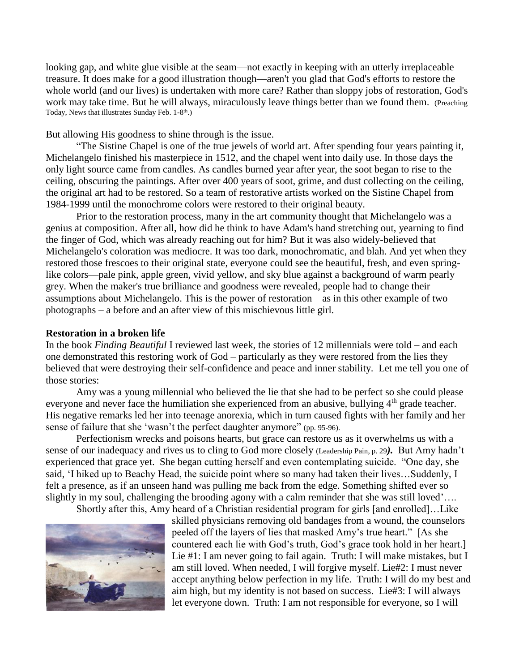looking gap, and white glue visible at the seam—not exactly in keeping with an utterly irreplaceable treasure. It does make for a good illustration though—aren't you glad that God's efforts to restore the whole world (and our lives) is undertaken with more care? Rather than sloppy jobs of restoration, God's work may take time. But he will always, miraculously leave things better than we found them. (Preaching Today, News that illustrates Sunday Feb. 1-8<sup>th</sup>.)

But allowing His goodness to shine through is the issue.

"The Sistine Chapel is one of the true jewels of world art. After spending four years painting it, Michelangelo finished his masterpiece in 1512, and the chapel went into daily use. In those days the only light source came from candles. As candles burned year after year, the soot began to rise to the ceiling, obscuring the paintings. After over 400 years of soot, grime, and dust collecting on the ceiling, the original art had to be restored. So a team of restorative artists worked on the Sistine Chapel from 1984-1999 until the monochrome colors were restored to their original beauty.

Prior to the restoration process, many in the art community thought that Michelangelo was a genius at composition. After all, how did he think to have Adam's hand stretching out, yearning to find the finger of God, which was already reaching out for him? But it was also widely-believed that Michelangelo's coloration was mediocre. It was too dark, monochromatic, and blah. And yet when they restored those frescoes to their original state, everyone could see the beautiful, fresh, and even springlike colors—pale pink, apple green, vivid yellow, and sky blue against a background of warm pearly grey. When the maker's true brilliance and goodness were revealed, people had to change their assumptions about Michelangelo. This is the power of restoration – as in this other example of two photographs – a before and an after view of this mischievous little girl.

## **Restoration in a broken life**

In the book *Finding Beautiful* I reviewed last week, the stories of 12 millennials were told – and each one demonstrated this restoring work of God – particularly as they were restored from the lies they believed that were destroying their self-confidence and peace and inner stability. Let me tell you one of those stories:

Amy was a young millennial who believed the lie that she had to be perfect so she could please everyone and never face the humiliation she experienced from an abusive, bullying  $4<sup>th</sup>$  grade teacher. His negative remarks led her into teenage anorexia, which in turn caused fights with her family and her sense of failure that she 'wasn't the perfect daughter anymore'' (pp. 95-96).

Perfectionism wrecks and poisons hearts, but grace can restore us as it overwhelms us with a sense of our inadequacy and rives us to cling to God more closely (Leadership Pain, p. 29*).* But Amy hadn't experienced that grace yet. She began cutting herself and even contemplating suicide. "One day, she said, 'I hiked up to Beachy Head, the suicide point where so many had taken their lives…Suddenly, I felt a presence, as if an unseen hand was pulling me back from the edge. Something shifted ever so slightly in my soul, challenging the brooding agony with a calm reminder that she was still loved'….

Shortly after this, Amy heard of a Christian residential program for girls [and enrolled]…Like



skilled physicians removing old bandages from a wound, the counselors peeled off the layers of lies that masked Amy's true heart." [As she countered each lie with God's truth, God's grace took hold in her heart.] Lie #1: I am never going to fail again. Truth: I will make mistakes, but I am still loved. When needed, I will forgive myself. Lie#2: I must never accept anything below perfection in my life. Truth: I will do my best and aim high, but my identity is not based on success. Lie#3: I will always let everyone down. Truth: I am not responsible for everyone, so I will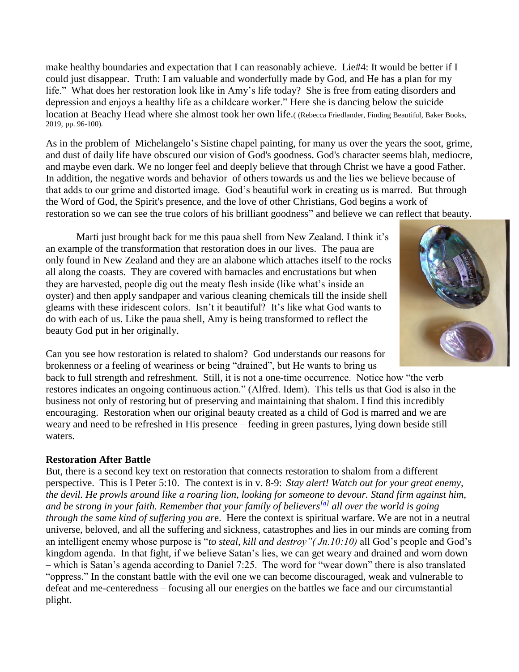make healthy boundaries and expectation that I can reasonably achieve. Lie#4: It would be better if I could just disappear. Truth: I am valuable and wonderfully made by God, and He has a plan for my life." What does her restoration look like in Amy's life today? She is free from eating disorders and depression and enjoys a healthy life as a childcare worker." Here she is dancing below the suicide location at Beachy Head where she almost took her own life.( (Rebecca Friedlander, Finding Beautiful, Baker Books, 2019, pp. 96-100).

As in the problem of Michelangelo's Sistine chapel painting, for many us over the years the soot, grime, and dust of daily life have obscured our vision of God's goodness. God's character seems blah, mediocre, and maybe even dark. We no longer feel and deeply believe that through Christ we have a good Father. In addition, the negative words and behavior of others towards us and the lies we believe because of that adds to our grime and distorted image. God's beautiful work in creating us is marred. But through the Word of God, the Spirit's presence, and the love of other Christians, God begins a work of restoration so we can see the true colors of his brilliant goodness" and believe we can reflect that beauty.

Marti just brought back for me this paua shell from New Zealand. I think it's an example of the transformation that restoration does in our lives. The paua are only found in New Zealand and they are an alabone which attaches itself to the rocks all along the coasts. They are covered with barnacles and encrustations but when they are harvested, people dig out the meaty flesh inside (like what's inside an oyster) and then apply sandpaper and various cleaning chemicals till the inside shell gleams with these iridescent colors. Isn't it beautiful? It's like what God wants to do with each of us. Like the paua shell, Amy is being transformed to reflect the beauty God put in her originally.



Can you see how restoration is related to shalom? God understands our reasons for brokenness or a feeling of weariness or being "drained", but He wants to bring us

back to full strength and refreshment. Still, it is not a one-time occurrence. Notice how "the verb restores indicates an ongoing continuous action." (Alfred. Idem). This tells us that God is also in the business not only of restoring but of preserving and maintaining that shalom. I find this incredibly encouraging. Restoration when our original beauty created as a child of God is marred and we are weary and need to be refreshed in His presence – feeding in green pastures, lying down beside still waters.

## **Restoration After Battle**

But, there is a second key text on restoration that connects restoration to shalom from a different perspective. This is I Peter 5:10. The context is in v. 8-9: *Stay alert! Watch out for your great enemy, the devil. He prowls around like a roaring lion, looking for someone to devour. Stand firm against him, and be strong in your faith. Remember that your family of believers[\[a\]](https://www.biblegateway.com/passage/?search=I+Peter+5%3A+9-11&version=NLT#fen-NLT-30435a) all over the world is going through the same kind of suffering you ar*e. Here the context is spiritual warfare. We are not in a neutral universe, beloved, and all the suffering and sickness, catastrophes and lies in our minds are coming from an intelligent enemy whose purpose is "*to steal, kill and destroy"( Jn.10:10)* all God's people and God's kingdom agenda. In that fight, if we believe Satan's lies, we can get weary and drained and worn down – which is Satan's agenda according to Daniel 7:25. The word for "wear down" there is also translated "oppress." In the constant battle with the evil one we can become discouraged, weak and vulnerable to defeat and me-centeredness – focusing all our energies on the battles we face and our circumstantial plight.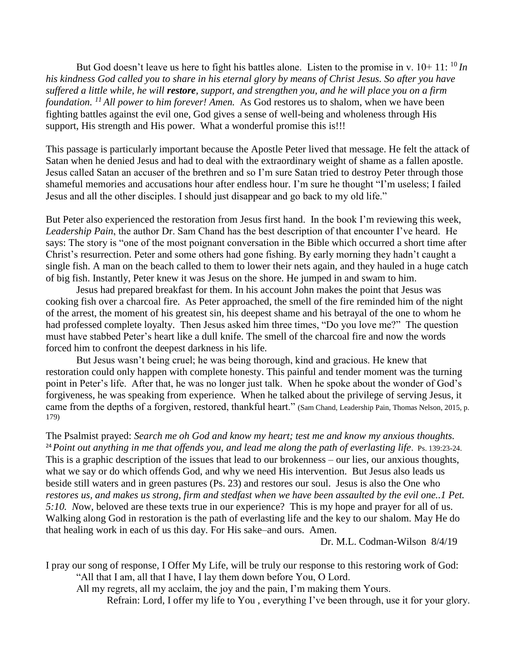But God doesn't leave us here to fight his battles alone. Listen to the promise in v.  $10+11$ :  $^{10}$  *In his kindness God called you to share in his eternal glory by means of Christ Jesus. So after you have suffered a little while, he will restore, support, and strengthen you, and he will place you on a firm foundation. <sup>11</sup> All power to him forever! Amen.* As God restores us to shalom, when we have been fighting battles against the evil one, God gives a sense of well-being and wholeness through His support, His strength and His power. What a wonderful promise this is!!!

This passage is particularly important because the Apostle Peter lived that message. He felt the attack of Satan when he denied Jesus and had to deal with the extraordinary weight of shame as a fallen apostle. Jesus called Satan an accuser of the brethren and so I'm sure Satan tried to destroy Peter through those shameful memories and accusations hour after endless hour. I'm sure he thought "I'm useless; I failed Jesus and all the other disciples. I should just disappear and go back to my old life."

But Peter also experienced the restoration from Jesus first hand. In the book I'm reviewing this week, *Leadership Pain*, the author Dr. Sam Chand has the best description of that encounter I've heard. He says: The story is "one of the most poignant conversation in the Bible which occurred a short time after Christ's resurrection. Peter and some others had gone fishing. By early morning they hadn't caught a single fish. A man on the beach called to them to lower their nets again, and they hauled in a huge catch of big fish. Instantly, Peter knew it was Jesus on the shore. He jumped in and swam to him.

Jesus had prepared breakfast for them. In his account John makes the point that Jesus was cooking fish over a charcoal fire. As Peter approached, the smell of the fire reminded him of the night of the arrest, the moment of his greatest sin, his deepest shame and his betrayal of the one to whom he had professed complete loyalty. Then Jesus asked him three times, "Do you love me?" The question must have stabbed Peter's heart like a dull knife. The smell of the charcoal fire and now the words forced him to confront the deepest darkness in his life.

But Jesus wasn't being cruel; he was being thorough, kind and gracious. He knew that restoration could only happen with complete honesty. This painful and tender moment was the turning point in Peter's life. After that, he was no longer just talk. When he spoke about the wonder of God's forgiveness, he was speaking from experience. When he talked about the privilege of serving Jesus, it came from the depths of a forgiven, restored, thankful heart." (Sam Chand, Leadership Pain, Thomas Nelson, 2015, p. 179)

The Psalmist prayed: *Search me oh God and know my heart; test me and know my anxious thoughts.*  <sup>24</sup>*Point out anything in me that offends you, and lead me along the path of everlasting life*. Ps. 139:23-24. This is a graphic description of the issues that lead to our brokenness – our lies, our anxious thoughts, what we say or do which offends God, and why we need His intervention. But Jesus also leads us beside still waters and in green pastures (Ps. 23) and restores our soul. Jesus is also the One who *restores us, and makes us strong, firm and stedfast when we have been assaulted by the evil one..1 Pet. 5:10. N*ow, beloved are these texts true in our experience? This is my hope and prayer for all of us. Walking along God in restoration is the path of everlasting life and the key to our shalom*.* May He do that healing work in each of us this day. For His sake–and ours. Amen.

Dr. M.L. Codman-Wilson 8/4/19

I pray our song of response, I Offer My Life, will be truly our response to this restoring work of God: "All that I am, all that I have, I lay them down before You, O Lord.

All my regrets, all my acclaim, the joy and the pain, I'm making them Yours.

Refrain: Lord, I offer my life to You , everything I've been through, use it for your glory.